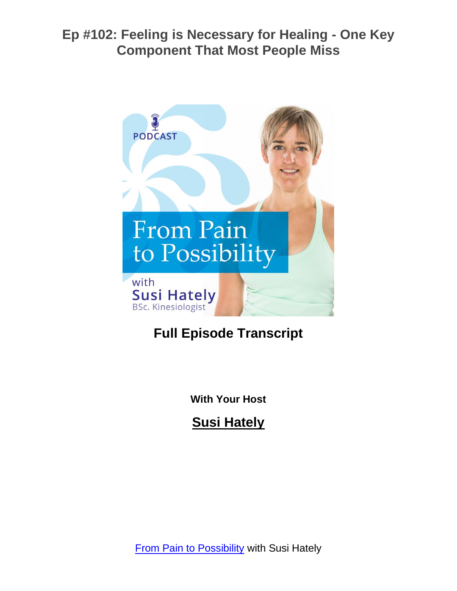

# **Full Episode Transcript**

**With Your Host**

**Susi Hately**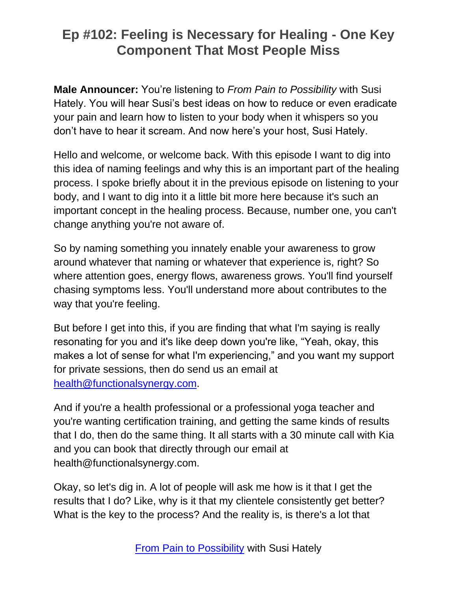**Male Announcer:** You're listening to *From Pain to Possibility* with Susi Hately. You will hear Susi's best ideas on how to reduce or even eradicate your pain and learn how to listen to your body when it whispers so you don't have to hear it scream. And now here's your host, Susi Hately.

Hello and welcome, or welcome back. With this episode I want to dig into this idea of naming feelings and why this is an important part of the healing process. I spoke briefly about it in the previous episode on listening to your body, and I want to dig into it a little bit more here because it's such an important concept in the healing process. Because, number one, you can't change anything you're not aware of.

So by naming something you innately enable your awareness to grow around whatever that naming or whatever that experience is, right? So where attention goes, energy flows, awareness grows. You'll find yourself chasing symptoms less. You'll understand more about contributes to the way that you're feeling.

But before I get into this, if you are finding that what I'm saying is really resonating for you and it's like deep down you're like, "Yeah, okay, this makes a lot of sense for what I'm experiencing," and you want my support for private sessions, then do send us an email at [health@functionalsynergy.com.](mailto:health@functionalsynergy.com)

And if you're a health professional or a professional yoga teacher and you're wanting certification training, and getting the same kinds of results that I do, then do the same thing. It all starts with a 30 minute call with Kia and you can book that directly through our email at health@functionalsynergy.com.

Okay, so let's dig in. A lot of people will ask me how is it that I get the results that I do? Like, why is it that my clientele consistently get better? What is the key to the process? And the reality is, is there's a lot that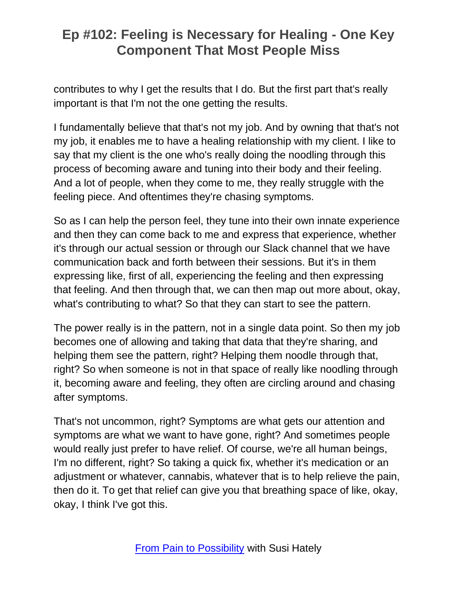contributes to why I get the results that I do. But the first part that's really important is that I'm not the one getting the results.

I fundamentally believe that that's not my job. And by owning that that's not my job, it enables me to have a healing relationship with my client. I like to say that my client is the one who's really doing the noodling through this process of becoming aware and tuning into their body and their feeling. And a lot of people, when they come to me, they really struggle with the feeling piece. And oftentimes they're chasing symptoms.

So as I can help the person feel, they tune into their own innate experience and then they can come back to me and express that experience, whether it's through our actual session or through our Slack channel that we have communication back and forth between their sessions. But it's in them expressing like, first of all, experiencing the feeling and then expressing that feeling. And then through that, we can then map out more about, okay, what's contributing to what? So that they can start to see the pattern.

The power really is in the pattern, not in a single data point. So then my job becomes one of allowing and taking that data that they're sharing, and helping them see the pattern, right? Helping them noodle through that, right? So when someone is not in that space of really like noodling through it, becoming aware and feeling, they often are circling around and chasing after symptoms.

That's not uncommon, right? Symptoms are what gets our attention and symptoms are what we want to have gone, right? And sometimes people would really just prefer to have relief. Of course, we're all human beings, I'm no different, right? So taking a quick fix, whether it's medication or an adjustment or whatever, cannabis, whatever that is to help relieve the pain, then do it. To get that relief can give you that breathing space of like, okay, okay, I think I've got this.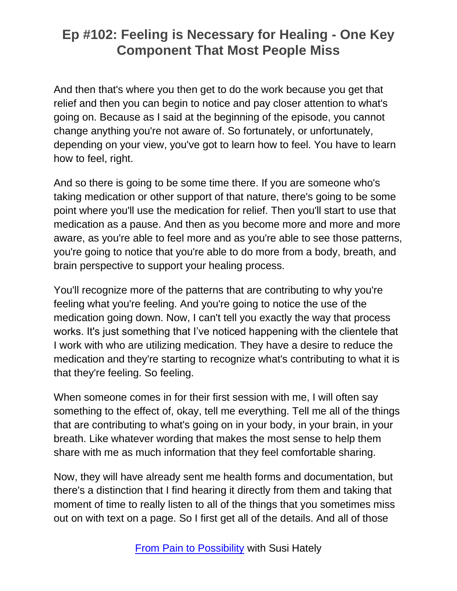And then that's where you then get to do the work because you get that relief and then you can begin to notice and pay closer attention to what's going on. Because as I said at the beginning of the episode, you cannot change anything you're not aware of. So fortunately, or unfortunately, depending on your view, you've got to learn how to feel. You have to learn how to feel, right.

And so there is going to be some time there. If you are someone who's taking medication or other support of that nature, there's going to be some point where you'll use the medication for relief. Then you'll start to use that medication as a pause. And then as you become more and more and more aware, as you're able to feel more and as you're able to see those patterns, you're going to notice that you're able to do more from a body, breath, and brain perspective to support your healing process.

You'll recognize more of the patterns that are contributing to why you're feeling what you're feeling. And you're going to notice the use of the medication going down. Now, I can't tell you exactly the way that process works. It's just something that I've noticed happening with the clientele that I work with who are utilizing medication. They have a desire to reduce the medication and they're starting to recognize what's contributing to what it is that they're feeling. So feeling.

When someone comes in for their first session with me, I will often say something to the effect of, okay, tell me everything. Tell me all of the things that are contributing to what's going on in your body, in your brain, in your breath. Like whatever wording that makes the most sense to help them share with me as much information that they feel comfortable sharing.

Now, they will have already sent me health forms and documentation, but there's a distinction that I find hearing it directly from them and taking that moment of time to really listen to all of the things that you sometimes miss out on with text on a page. So I first get all of the details. And all of those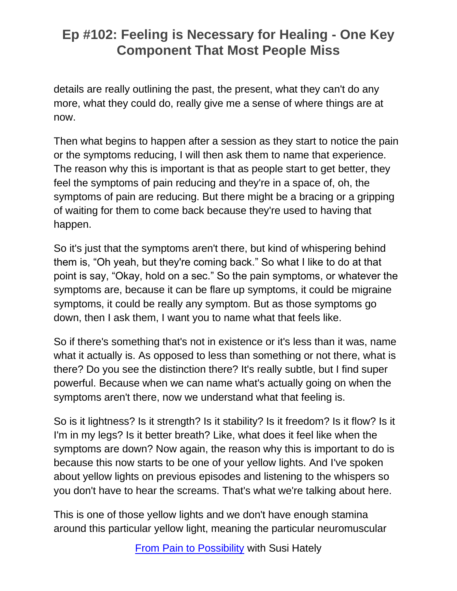details are really outlining the past, the present, what they can't do any more, what they could do, really give me a sense of where things are at now.

Then what begins to happen after a session as they start to notice the pain or the symptoms reducing, I will then ask them to name that experience. The reason why this is important is that as people start to get better, they feel the symptoms of pain reducing and they're in a space of, oh, the symptoms of pain are reducing. But there might be a bracing or a gripping of waiting for them to come back because they're used to having that happen.

So it's just that the symptoms aren't there, but kind of whispering behind them is, "Oh yeah, but they're coming back." So what I like to do at that point is say, "Okay, hold on a sec." So the pain symptoms, or whatever the symptoms are, because it can be flare up symptoms, it could be migraine symptoms, it could be really any symptom. But as those symptoms go down, then I ask them, I want you to name what that feels like.

So if there's something that's not in existence or it's less than it was, name what it actually is. As opposed to less than something or not there, what is there? Do you see the distinction there? It's really subtle, but I find super powerful. Because when we can name what's actually going on when the symptoms aren't there, now we understand what that feeling is.

So is it lightness? Is it strength? Is it stability? Is it freedom? Is it flow? Is it I'm in my legs? Is it better breath? Like, what does it feel like when the symptoms are down? Now again, the reason why this is important to do is because this now starts to be one of your yellow lights. And I've spoken about yellow lights on previous episodes and listening to the whispers so you don't have to hear the screams. That's what we're talking about here.

This is one of those yellow lights and we don't have enough stamina around this particular yellow light, meaning the particular neuromuscular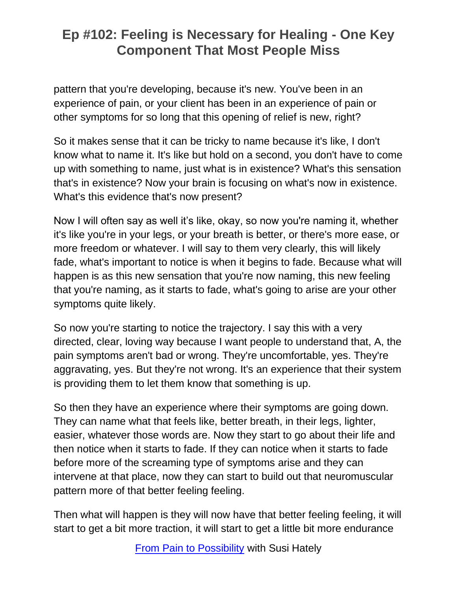pattern that you're developing, because it's new. You've been in an experience of pain, or your client has been in an experience of pain or other symptoms for so long that this opening of relief is new, right?

So it makes sense that it can be tricky to name because it's like, I don't know what to name it. It's like but hold on a second, you don't have to come up with something to name, just what is in existence? What's this sensation that's in existence? Now your brain is focusing on what's now in existence. What's this evidence that's now present?

Now I will often say as well it's like, okay, so now you're naming it, whether it's like you're in your legs, or your breath is better, or there's more ease, or more freedom or whatever. I will say to them very clearly, this will likely fade, what's important to notice is when it begins to fade. Because what will happen is as this new sensation that you're now naming, this new feeling that you're naming, as it starts to fade, what's going to arise are your other symptoms quite likely.

So now you're starting to notice the trajectory. I say this with a very directed, clear, loving way because I want people to understand that, A, the pain symptoms aren't bad or wrong. They're uncomfortable, yes. They're aggravating, yes. But they're not wrong. It's an experience that their system is providing them to let them know that something is up.

So then they have an experience where their symptoms are going down. They can name what that feels like, better breath, in their legs, lighter, easier, whatever those words are. Now they start to go about their life and then notice when it starts to fade. If they can notice when it starts to fade before more of the screaming type of symptoms arise and they can intervene at that place, now they can start to build out that neuromuscular pattern more of that better feeling feeling.

Then what will happen is they will now have that better feeling feeling, it will start to get a bit more traction, it will start to get a little bit more endurance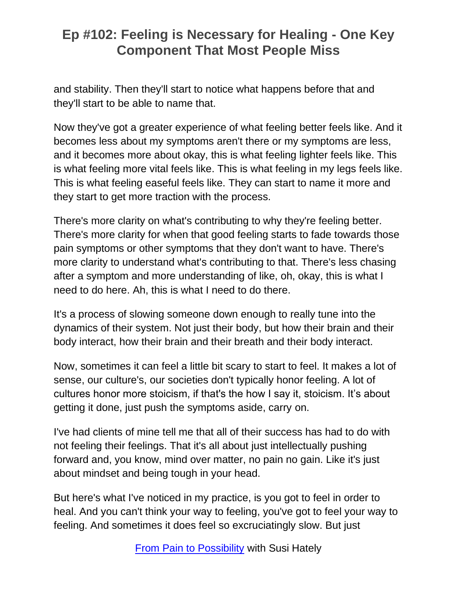and stability. Then they'll start to notice what happens before that and they'll start to be able to name that.

Now they've got a greater experience of what feeling better feels like. And it becomes less about my symptoms aren't there or my symptoms are less, and it becomes more about okay, this is what feeling lighter feels like. This is what feeling more vital feels like. This is what feeling in my legs feels like. This is what feeling easeful feels like. They can start to name it more and they start to get more traction with the process.

There's more clarity on what's contributing to why they're feeling better. There's more clarity for when that good feeling starts to fade towards those pain symptoms or other symptoms that they don't want to have. There's more clarity to understand what's contributing to that. There's less chasing after a symptom and more understanding of like, oh, okay, this is what I need to do here. Ah, this is what I need to do there.

It's a process of slowing someone down enough to really tune into the dynamics of their system. Not just their body, but how their brain and their body interact, how their brain and their breath and their body interact.

Now, sometimes it can feel a little bit scary to start to feel. It makes a lot of sense, our culture's, our societies don't typically honor feeling. A lot of cultures honor more stoicism, if that's the how I say it, stoicism. It's about getting it done, just push the symptoms aside, carry on.

I've had clients of mine tell me that all of their success has had to do with not feeling their feelings. That it's all about just intellectually pushing forward and, you know, mind over matter, no pain no gain. Like it's just about mindset and being tough in your head.

But here's what I've noticed in my practice, is you got to feel in order to heal. And you can't think your way to feeling, you've got to feel your way to feeling. And sometimes it does feel so excruciatingly slow. But just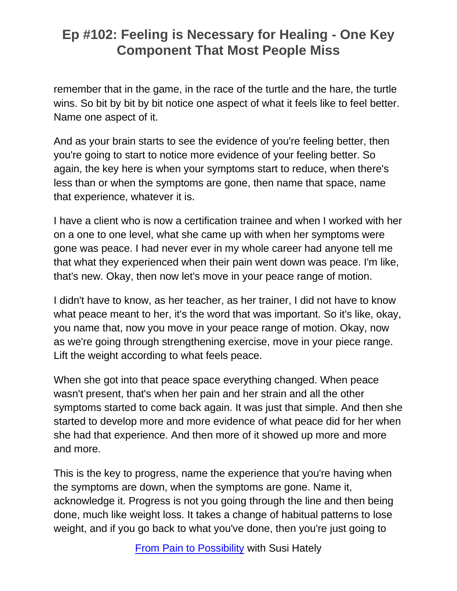remember that in the game, in the race of the turtle and the hare, the turtle wins. So bit by bit by bit notice one aspect of what it feels like to feel better. Name one aspect of it.

And as your brain starts to see the evidence of you're feeling better, then you're going to start to notice more evidence of your feeling better. So again, the key here is when your symptoms start to reduce, when there's less than or when the symptoms are gone, then name that space, name that experience, whatever it is.

I have a client who is now a certification trainee and when I worked with her on a one to one level, what she came up with when her symptoms were gone was peace. I had never ever in my whole career had anyone tell me that what they experienced when their pain went down was peace. I'm like, that's new. Okay, then now let's move in your peace range of motion.

I didn't have to know, as her teacher, as her trainer, I did not have to know what peace meant to her, it's the word that was important. So it's like, okay, you name that, now you move in your peace range of motion. Okay, now as we're going through strengthening exercise, move in your piece range. Lift the weight according to what feels peace.

When she got into that peace space everything changed. When peace wasn't present, that's when her pain and her strain and all the other symptoms started to come back again. It was just that simple. And then she started to develop more and more evidence of what peace did for her when she had that experience. And then more of it showed up more and more and more.

This is the key to progress, name the experience that you're having when the symptoms are down, when the symptoms are gone. Name it, acknowledge it. Progress is not you going through the line and then being done, much like weight loss. It takes a change of habitual patterns to lose weight, and if you go back to what you've done, then you're just going to